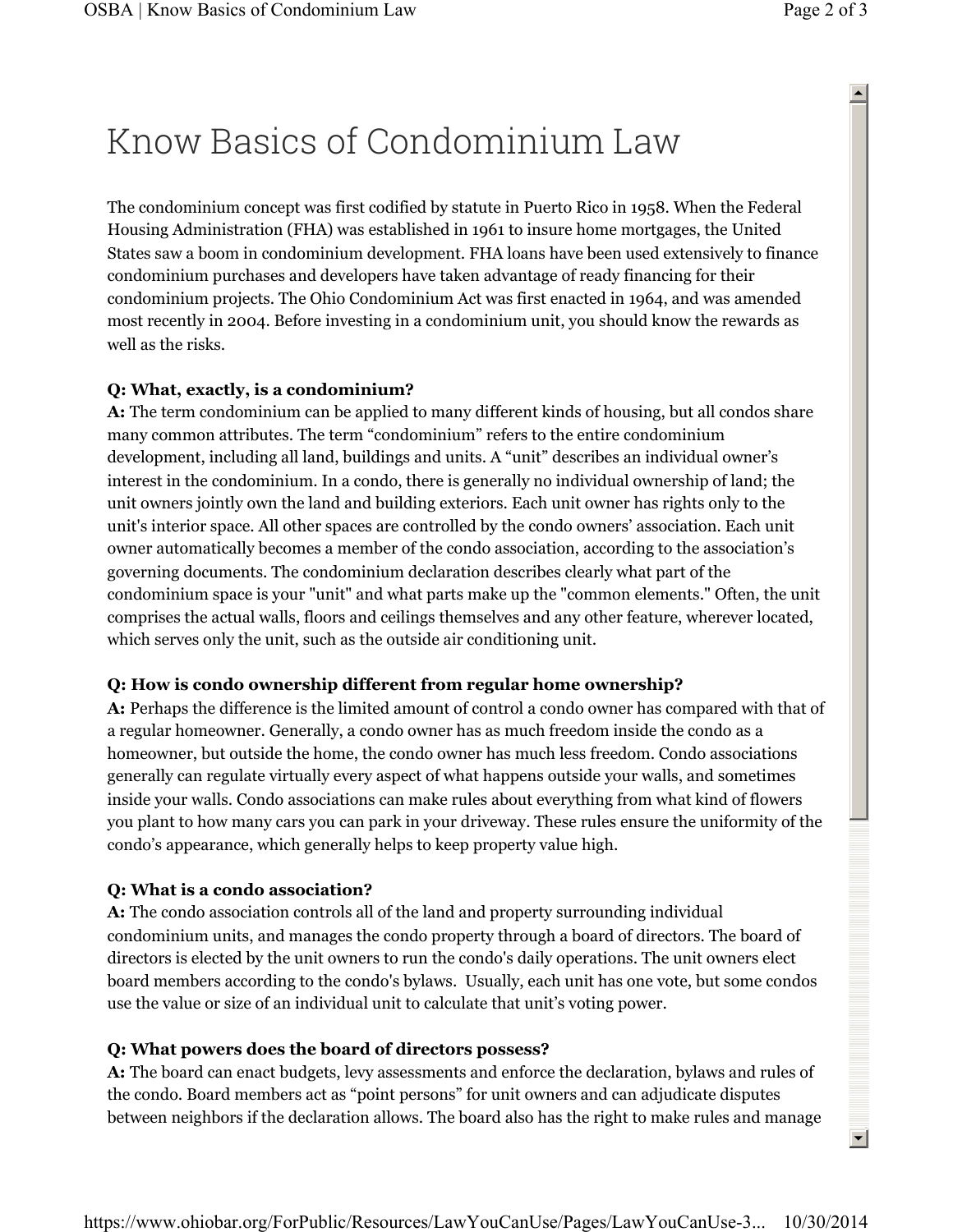# Know Basics of Condominium Law

The condominium concept was first codified by statute in Puerto Rico in 1958. When the Federal Housing Administration (FHA) was established in 1961 to insure home mortgages, the United States saw a boom in condominium development. FHA loans have been used extensively to finance condominium purchases and developers have taken advantage of ready financing for their condominium projects. The Ohio Condominium Act was first enacted in 1964, and was amended most recently in 2004. Before investing in a condominium unit, you should know the rewards as well as the risks.

## **Q: What, exactly, is a condominium?**

**A:** The term condominium can be applied to many different kinds of housing, but all condos share many common attributes. The term "condominium" refers to the entire condominium development, including all land, buildings and units. A "unit" describes an individual owner's interest in the condominium. In a condo, there is generally no individual ownership of land; the unit owners jointly own the land and building exteriors. Each unit owner has rights only to the unit's interior space. All other spaces are controlled by the condo owners' association. Each unit owner automatically becomes a member of the condo association, according to the association's governing documents. The condominium declaration describes clearly what part of the condominium space is your "unit" and what parts make up the "common elements." Often, the unit comprises the actual walls, floors and ceilings themselves and any other feature, wherever located, which serves only the unit, such as the outside air conditioning unit.

### **Q: How is condo ownership different from regular home ownership?**

**A:** Perhaps the difference is the limited amount of control a condo owner has compared with that of a regular homeowner. Generally, a condo owner has as much freedom inside the condo as a homeowner, but outside the home, the condo owner has much less freedom. Condo associations generally can regulate virtually every aspect of what happens outside your walls, and sometimes inside your walls. Condo associations can make rules about everything from what kind of flowers you plant to how many cars you can park in your driveway. These rules ensure the uniformity of the condo's appearance, which generally helps to keep property value high.

# **Q: What is a condo association?**

**A:** The condo association controls all of the land and property surrounding individual condominium units, and manages the condo property through a board of directors. The board of directors is elected by the unit owners to run the condo's daily operations. The unit owners elect board members according to the condo's bylaws. Usually, each unit has one vote, but some condos use the value or size of an individual unit to calculate that unit's voting power.

### **Q: What powers does the board of directors possess?**

**A:** The board can enact budgets, levy assessments and enforce the declaration, bylaws and rules of the condo. Board members act as "point persons" for unit owners and can adjudicate disputes between neighbors if the declaration allows. The board also has the right to make rules and manage  $\blacktriangle$